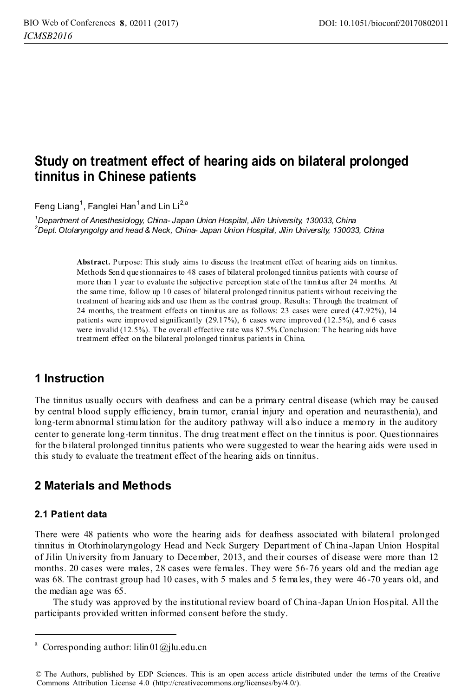# **Study on treatment effect of hearing aids on bilateral prolonged tinnitus in Chinese patients**

Feng Liang<sup>1</sup>, Fanglei Han<sup>1</sup> and Lin Li<sup>2,a</sup>

*1 Department of Anesthesiology, China- Japan Union Hospital, Jilin University, 130033, China 2 Dept. Otolaryngolgy and head & Neck, China- Japan Union Hospital, Jilin University, 130033, China* 

> **Abstract.** Purpose: This study aims to discuss the treatment effect of hearing aids on tinnitus. Methods Sen d questionnaires to 48 cases of bilateral prolonged tinnitus patients with course of more than 1 year to evaluate the subjective perception state of the tinnitus after 24 months. At the same time, follow up 10 cases of bilateral prolonged tinnitus patients without receiving the treatment of hearing aids and use them as the contrast group. Results: Through the treatment of 24 months, the treatment effects on tinnitus are as follows: 23 cases were cured (47.92%), 14 patients were improved significantly (29.17%), 6 cases were improved (12.5%), and 6 cases were invalid (12.5%). The overall effective rate was 87.5%.Conclusion: The hearing aids have treatment effect on the bilateral prolonged tinnitus patients in China.

## **1 Instruction**

The tinnitus usually occurs with deafness and can be a primary central disease (which may be caused by central blood supply efficiency, brain tumor, cranial injury and operation and neurasthenia), and long-term abnormal stimulation for the auditory pathway will also induce a memory in the auditory center to generate long-term tinnitus. The drug treatment effect on the tinnitus is poor. Questionnaires for the bilateral prolonged tinnitus patients who were suggested to wear the hearing aids were used in this study to evaluate the treatment effect of the hearing aids on tinnitus.

## **2 Materials and Methods**

#### **2.1 Patient data**

-

There were 48 patients who wore the hearing aids for deafness associated with bilateral prolonged tinnitus in Otorhinolaryngology Head and Neck Surgery Department of China-Japan Union Hospital of Jilin University from January to December, 2013, and their courses of disease were more than 12 months. 20 cases were males, 28 cases were females. They were 56-76 years old and the median age was 68. The contrast group had 10 cases, with 5 males and 5 females, they were 46 -70 years old, and the median age was 65.

 The study was approved by the institutional review board of China-Japan Union Hospital. All the participants provided written informed consent before the study.

<sup>&</sup>lt;sup>a</sup> Corresponding author: lilin01@jlu.edu.cn

<sup>©</sup> The Authors, published by EDP Sciences. This is an open access article distributed under the terms of the Creative Commons Attribution License 4.0 (http://creativecommons.org/licenses/by/4.0/).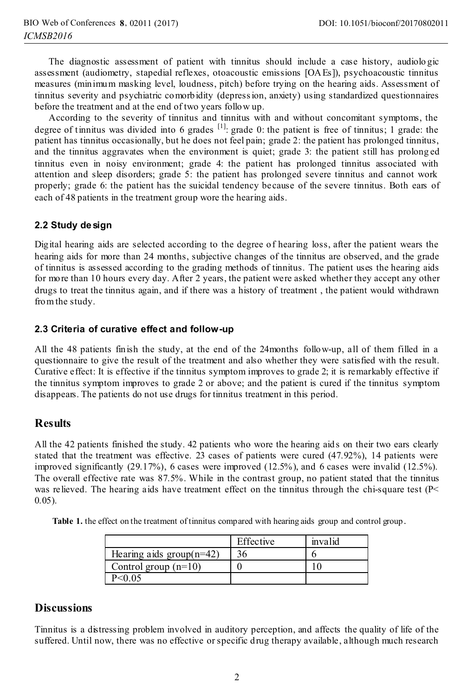The diagnostic assessment of patient with tinnitus should include a case history, audiolo gic assessment (audiometry, stapedial reflexes, otoacoustic emissions [OA Es]), psychoacoustic tinnitus measures (minimum masking level, loudness, pitch) before trying on the hearing aids. Assessment of tinnitus severity and psychiatric comorbidity (depress ion, anxiety) using standardized questionnaires before the treatment and at the end of two years follow up.

According to the severity of tinnitus and tinnitus with and without concomitant symptoms, the degree of tinnitus was divided into 6 grades <sup>[1]</sup>: grade 0: the patient is free of tinnitus; 1 grade: the patient has tinnitus occasionally, but he does not feel pain; grade 2: the patient has prolonged tinnitus, and the tinnitus aggravates when the environment is quiet; grade 3: the patient still has prolong ed tinnitus even in noisy environment; grade 4: the patient has prolonged tinnitus associated with attention and sleep disorders; grade 5: the patient has prolonged severe tinnitus and cannot work properly; grade 6: the patient has the suicidal tendency because of the severe tinnitus. Both ears of each of 48 patients in the treatment group wore the hearing aids.

#### **2.2 Study design**

Digital hearing aids are selected according to the degree of hearing loss, after the patient wears the hearing aids for more than 24 months, subjective changes of the tinnitus are observed, and the grade of tinnitus is assessed according to the grading methods of tinnitus. The patient uses the hearing aids for more than 10 hours every day. After 2 years, the patient were asked whether they accept any other drugs to treat the tinnitus again, and if there was a history of treatment , the patient would withdrawn from the study.

#### **2.3 Criteria of curative effect and follow-up**

All the 48 patients finish the study, at the end of the 24months follow-up, all of them filled in a questionnaire to give the result of the treatment and also whether they were satisfied with the result. Curative effect: It is effective if the tinnitus symptom improves to grade 2; it is remarkably effective if the tinnitus symptom improves to grade 2 or above; and the patient is cured if the tinnitus symptom disappears. The patients do not use drugs for tinnitus treatment in this period.

#### **Results**

All the 42 patients finished the study. 42 patients who wore the hearing aid s on their two ears clearly stated that the treatment was effective. 23 cases of patients were cured (47.92%), 14 patients were improved significantly (29.17%), 6 cases were improved (12.5%), and 6 cases were invalid (12.5%). The overall effective rate was 87.5%. While in the contrast group, no patient stated that the tinnitus was relieved. The hearing aids have treatment effect on the tinnitus through the chi-square test ( $P$  < 0.05).

**Table 1.** the effect on the treatment of tinnitus compared with hearing aids group and control group.

|                             | Effective | invalid |
|-----------------------------|-----------|---------|
| Hearing aids group $(n=42)$ | 36        |         |
| Control group $(n=10)$      |           |         |
| P < 0.05                    |           |         |

#### **Discussions**

Tinnitus is a distressing problem involved in auditory perception, and affects the quality of life of the suffered. Until now, there was no effective or specific drug therapy available, although much research